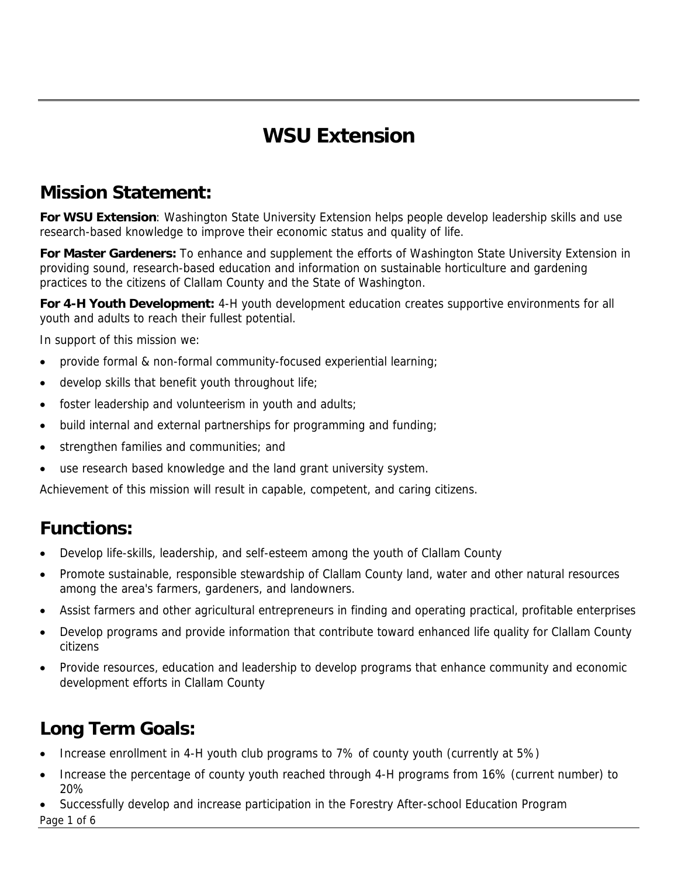# **WSU Extension**

## **Mission Statement:**

**For WSU Extension**: Washington State University Extension helps people develop leadership skills and use research-based knowledge to improve their economic status and quality of life.

**For Master Gardeners:** To enhance and supplement the efforts of Washington State University Extension in providing sound, research-based education and information on sustainable horticulture and gardening practices to the citizens of Clallam County and the State of Washington.

**For 4-H Youth Development:** 4-H youth development education creates supportive environments for all youth and adults to reach their fullest potential.

In support of this mission we:

- provide formal & non-formal community-focused experiential learning;
- develop skills that benefit youth throughout life;
- foster leadership and volunteerism in youth and adults;
- build internal and external partnerships for programming and funding;
- strengthen families and communities; and
- use research based knowledge and the land grant university system.

Achievement of this mission will result in capable, competent, and caring citizens.

### **Functions:**

- Develop life-skills, leadership, and self-esteem among the youth of Clallam County
- Promote sustainable, responsible stewardship of Clallam County land, water and other natural resources among the area's farmers, gardeners, and landowners.
- Assist farmers and other agricultural entrepreneurs in finding and operating practical, profitable enterprises
- Develop programs and provide information that contribute toward enhanced life quality for Clallam County citizens
- Provide resources, education and leadership to develop programs that enhance community and economic development efforts in Clallam County

## **Long Term Goals:**

- Increase enrollment in 4-H youth club programs to 7% of county youth (currently at 5%)
- Increase the percentage of county youth reached through 4-H programs from 16% (current number) to 20%
- Page 1 of 6 • Successfully develop and increase participation in the Forestry After-school Education Program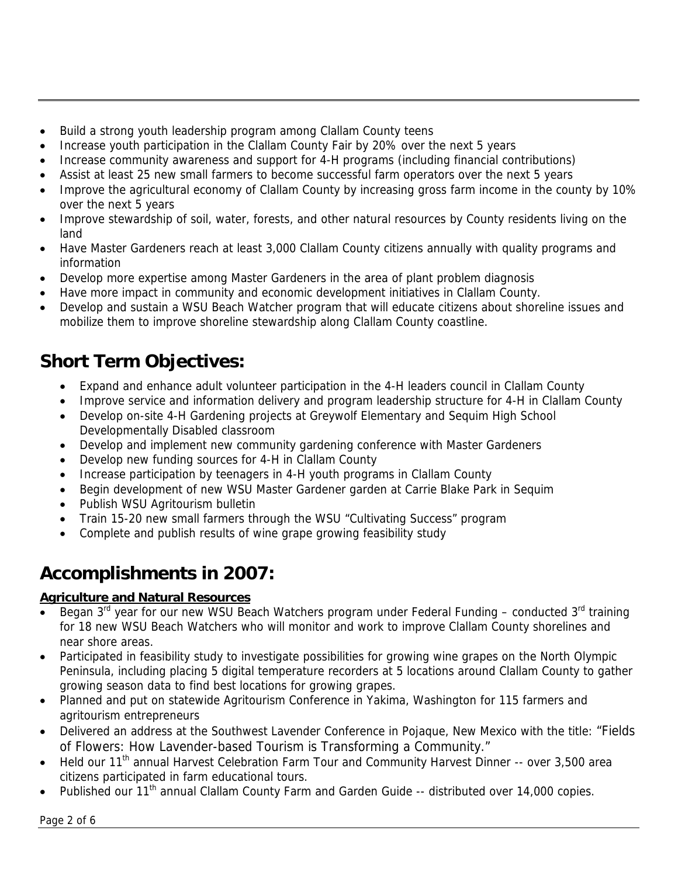- Build a strong youth leadership program among Clallam County teens
- Increase youth participation in the Clallam County Fair by 20% over the next 5 years
- Increase community awareness and support for 4-H programs (including financial contributions)
- Assist at least 25 new small farmers to become successful farm operators over the next 5 years
- Improve the agricultural economy of Clallam County by increasing gross farm income in the county by 10% over the next 5 years
- Improve stewardship of soil, water, forests, and other natural resources by County residents living on the land
- Have Master Gardeners reach at least 3,000 Clallam County citizens annually with quality programs and information
- Develop more expertise among Master Gardeners in the area of plant problem diagnosis
- Have more impact in community and economic development initiatives in Clallam County.
- Develop and sustain a WSU Beach Watcher program that will educate citizens about shoreline issues and mobilize them to improve shoreline stewardship along Clallam County coastline.

## **Short Term Objectives:**

- Expand and enhance adult volunteer participation in the 4-H leaders council in Clallam County
- Improve service and information delivery and program leadership structure for 4-H in Clallam County
- Develop on-site 4-H Gardening projects at Greywolf Elementary and Sequim High School Developmentally Disabled classroom
- Develop and implement new community gardening conference with Master Gardeners
- Develop new funding sources for 4-H in Clallam County
- Increase participation by teenagers in 4-H youth programs in Clallam County
- Begin development of new WSU Master Gardener garden at Carrie Blake Park in Sequim
- Publish WSU Agritourism bulletin
- Train 15-20 new small farmers through the WSU "Cultivating Success" program
- Complete and publish results of wine grape growing feasibility study

## **Accomplishments in 2007:**

### **Agriculture and Natural Resources**

- Began 3<sup>rd</sup> year for our new WSU Beach Watchers program under Federal Funding conducted 3<sup>rd</sup> training for 18 new WSU Beach Watchers who will monitor and work to improve Clallam County shorelines and near shore areas.
- Participated in feasibility study to investigate possibilities for growing wine grapes on the North Olympic Peninsula, including placing 5 digital temperature recorders at 5 locations around Clallam County to gather growing season data to find best locations for growing grapes.
- Planned and put on statewide Agritourism Conference in Yakima, Washington for 115 farmers and agritourism entrepreneurs
- Delivered an address at the Southwest Lavender Conference in Pojaque, New Mexico with the title: "Fields of Flowers: How Lavender-based Tourism is Transforming a Community."
- Held our 11<sup>th</sup> annual Harvest Celebration Farm Tour and Community Harvest Dinner -- over 3,500 area citizens participated in farm educational tours.
- Published our 11<sup>th</sup> annual Clallam County Farm and Garden Guide -- distributed over 14,000 copies.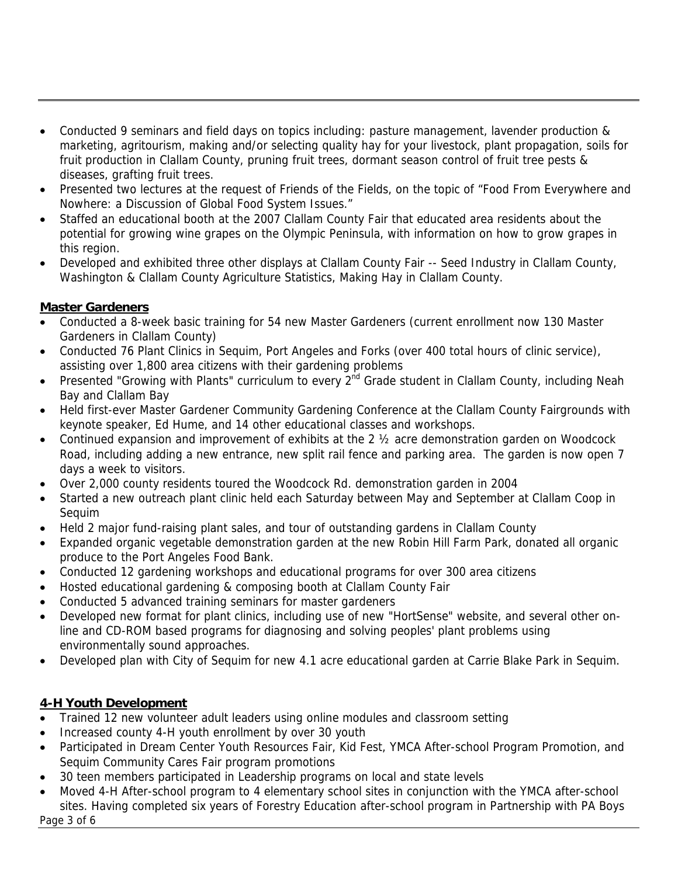- Conducted 9 seminars and field days on topics including: pasture management, lavender production & marketing, agritourism, making and/or selecting quality hay for your livestock, plant propagation, soils for fruit production in Clallam County, pruning fruit trees, dormant season control of fruit tree pests & diseases, grafting fruit trees.
- Presented two lectures at the request of Friends of the Fields, on the topic of "Food From Everywhere and Nowhere: a Discussion of Global Food System Issues."
- Staffed an educational booth at the 2007 Clallam County Fair that educated area residents about the potential for growing wine grapes on the Olympic Peninsula, with information on how to grow grapes in this region.
- Developed and exhibited three other displays at Clallam County Fair -- Seed Industry in Clallam County, Washington & Clallam County Agriculture Statistics, Making Hay in Clallam County.

#### **Master Gardeners**

- Conducted a 8-week basic training for 54 new Master Gardeners (current enrollment now 130 Master Gardeners in Clallam County)
- Conducted 76 Plant Clinics in Sequim, Port Angeles and Forks (over 400 total hours of clinic service), assisting over 1,800 area citizens with their gardening problems
- Presented "Growing with Plants" curriculum to every 2<sup>nd</sup> Grade student in Clallam County, including Neah Bay and Clallam Bay
- Held first-ever Master Gardener Community Gardening Conference at the Clallam County Fairgrounds with keynote speaker, Ed Hume, and 14 other educational classes and workshops.
- Continued expansion and improvement of exhibits at the 2  $\frac{1}{2}$  acre demonstration garden on Woodcock Road, including adding a new entrance, new split rail fence and parking area. The garden is now open 7 days a week to visitors.
- Over 2,000 county residents toured the Woodcock Rd. demonstration garden in 2004
- Started a new outreach plant clinic held each Saturday between May and September at Clallam Coop in Sequim
- Held 2 major fund-raising plant sales, and tour of outstanding gardens in Clallam County
- Expanded organic vegetable demonstration garden at the new Robin Hill Farm Park, donated all organic produce to the Port Angeles Food Bank.
- Conducted 12 gardening workshops and educational programs for over 300 area citizens
- Hosted educational gardening & composing booth at Clallam County Fair
- Conducted 5 advanced training seminars for master gardeners
- Developed new format for plant clinics, including use of new "HortSense" website, and several other online and CD-ROM based programs for diagnosing and solving peoples' plant problems using environmentally sound approaches.
- Developed plan with City of Sequim for new 4.1 acre educational garden at Carrie Blake Park in Sequim.

#### **4-H Youth Development**

- Trained 12 new volunteer adult leaders using online modules and classroom setting
- Increased county 4-H youth enrollment by over 30 youth
- Participated in Dream Center Youth Resources Fair, Kid Fest, YMCA After-school Program Promotion, and Sequim Community Cares Fair program promotions
- 30 teen members participated in Leadership programs on local and state levels
- Moved 4-H After-school program to 4 elementary school sites in conjunction with the YMCA after-school sites. Having completed six years of Forestry Education after-school program in Partnership with PA Boys

Page 3 of 6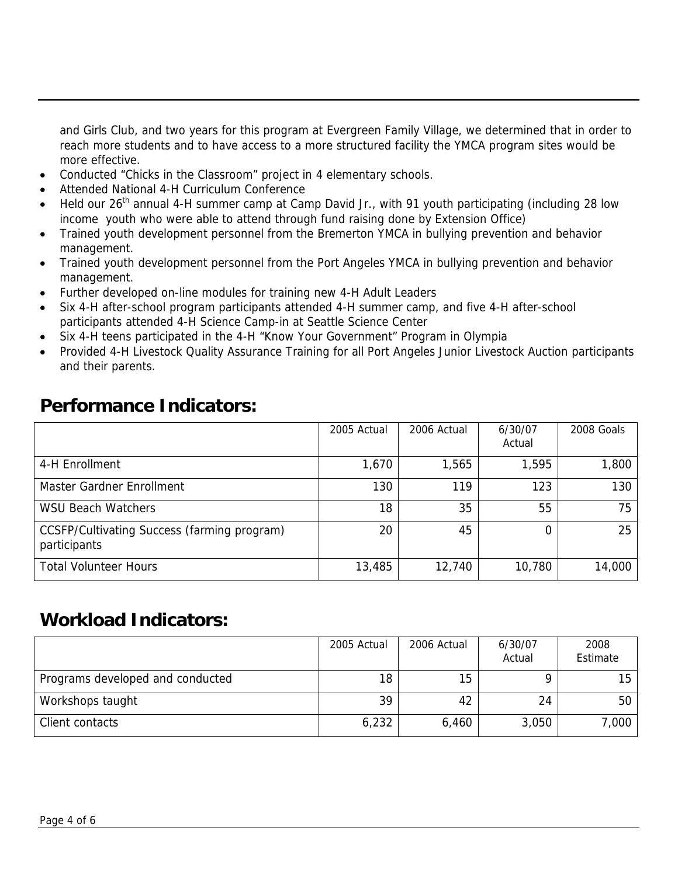and Girls Club, and two years for this program at Evergreen Family Village, we determined that in order to reach more students and to have access to a more structured facility the YMCA program sites would be more effective.

- Conducted "Chicks in the Classroom" project in 4 elementary schools.
- Attended National 4-H Curriculum Conference
- Held our 26<sup>th</sup> annual 4-H summer camp at Camp David Jr., with 91 youth participating (including 28 low income youth who were able to attend through fund raising done by Extension Office)
- Trained youth development personnel from the Bremerton YMCA in bullying prevention and behavior management.
- Trained youth development personnel from the Port Angeles YMCA in bullying prevention and behavior management.
- Further developed on-line modules for training new 4-H Adult Leaders
- Six 4-H after-school program participants attended 4-H summer camp, and five 4-H after-school participants attended 4-H Science Camp-in at Seattle Science Center
- Six 4-H teens participated in the 4-H "Know Your Government" Program in Olympia
- Provided 4-H Livestock Quality Assurance Training for all Port Angeles Junior Livestock Auction participants and their parents.

### **Performance Indicators:**

|                                                             | 2005 Actual | 2006 Actual | 6/30/07<br>Actual | 2008 Goals |
|-------------------------------------------------------------|-------------|-------------|-------------------|------------|
| 4-H Enrollment                                              | 1,670       | 1,565       | 1,595             | 1,800      |
| Master Gardner Enrollment                                   | 130         | 119         | 123               | 130        |
| <b>WSU Beach Watchers</b>                                   | 18          | 35          | 55                | 75         |
| CCSFP/Cultivating Success (farming program)<br>participants | 20          | 45          |                   | 25         |
| <b>Total Volunteer Hours</b>                                | 13,485      | 12,740      | 10,780            | 14,000     |

### **Workload Indicators:**

|                                  | 2005 Actual | 2006 Actual | 6/30/07<br>Actual | 2008<br>Estimate |
|----------------------------------|-------------|-------------|-------------------|------------------|
| Programs developed and conducted | 18          | 15          |                   | 15               |
| Workshops taught                 | 39          | 42          | 24                | 50               |
| Client contacts                  | 6,232       | 6,460       | 3,050             | 7,000            |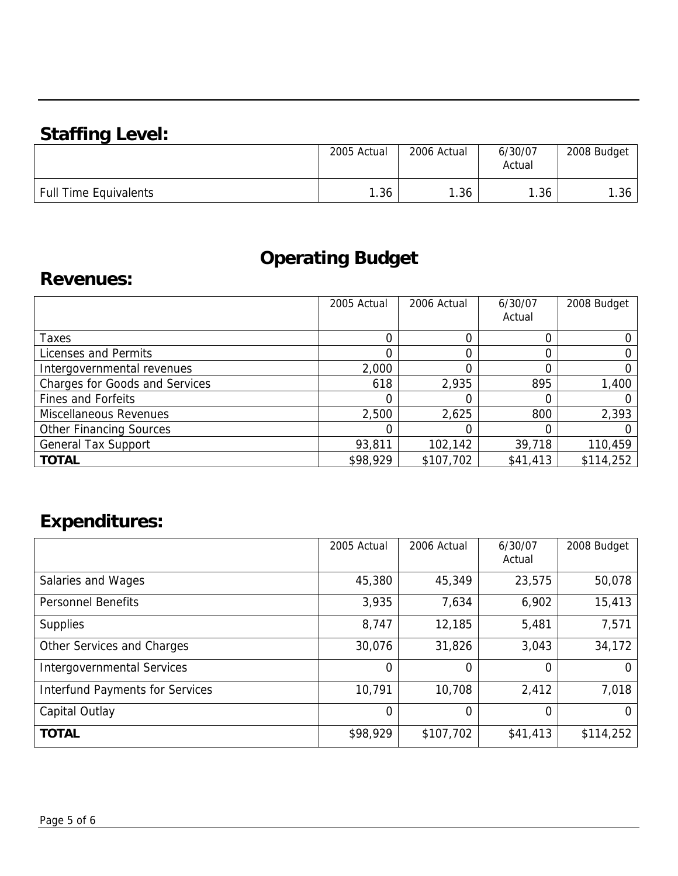## **Staffing Level:**

|                              | 2005 Actual | 2006 Actual | 6/30/07<br>Actual | 2008 Budget |
|------------------------------|-------------|-------------|-------------------|-------------|
| <b>Full Time Equivalents</b> | .36         | 1.36        | . . 36            | .36         |

## **Operating Budget**

### **Revenues:**

|                                       | 2005 Actual | 2006 Actual | 6/30/07<br>Actual | 2008 Budget |
|---------------------------------------|-------------|-------------|-------------------|-------------|
|                                       |             |             |                   |             |
| Taxes                                 |             |             |                   |             |
| Licenses and Permits                  |             |             |                   |             |
| Intergovernmental revenues            | 2,000       |             |                   |             |
| <b>Charges for Goods and Services</b> | 618         | 2,935       | 895               | 1,400       |
| <b>Fines and Forfeits</b>             |             |             |                   |             |
| Miscellaneous Revenues                | 2,500       | 2,625       | 800               | 2,393       |
| <b>Other Financing Sources</b>        |             |             |                   |             |
| <b>General Tax Support</b>            | 93,811      | 102,142     | 39,718            | 110,459     |
| <b>TOTAL</b>                          | \$98,929    | \$107,702   | \$41,413          | \$114,252   |

## **Expenditures:**

|                                        | 2005 Actual | 2006 Actual | 6/30/07<br>Actual | 2008 Budget |
|----------------------------------------|-------------|-------------|-------------------|-------------|
| Salaries and Wages                     | 45,380      | 45,349      | 23,575            | 50,078      |
| <b>Personnel Benefits</b>              | 3,935       | 7,634       | 6,902             | 15,413      |
| <b>Supplies</b>                        | 8,747       | 12,185      | 5,481             | 7,571       |
| Other Services and Charges             | 30,076      | 31,826      | 3,043             | 34,172      |
| <b>Intergovernmental Services</b>      | 0           | 0           | 0                 |             |
| <b>Interfund Payments for Services</b> | 10,791      | 10,708      | 2,412             | 7,018       |
| Capital Outlay                         | 0           | 0           | 0                 |             |
| <b>TOTAL</b>                           | \$98,929    | \$107,702   | \$41,413          | \$114,252   |